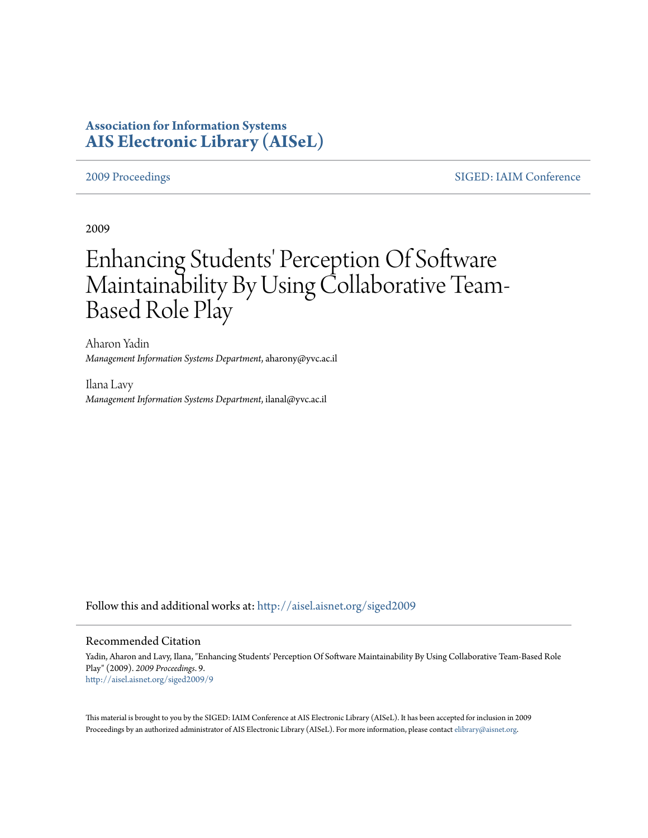# **Association for Information Systems [AIS Electronic Library \(AISeL\)](http://aisel.aisnet.org?utm_source=aisel.aisnet.org%2Fsiged2009%2F9&utm_medium=PDF&utm_campaign=PDFCoverPages)**

[2009 Proceedings](http://aisel.aisnet.org/siged2009?utm_source=aisel.aisnet.org%2Fsiged2009%2F9&utm_medium=PDF&utm_campaign=PDFCoverPages) [SIGED: IAIM Conference](http://aisel.aisnet.org/siged?utm_source=aisel.aisnet.org%2Fsiged2009%2F9&utm_medium=PDF&utm_campaign=PDFCoverPages)

2009

# Enhancing Students' Perception Of Software Maintainability By Using Collaborative Team-Based Role Play

Aharon Yadin *Management Information Systems Department*, aharony@yvc.ac.il

Ilana Lavy *Management Information Systems Department*, ilanal@yvc.ac.il

Follow this and additional works at: [http://aisel.aisnet.org/siged2009](http://aisel.aisnet.org/siged2009?utm_source=aisel.aisnet.org%2Fsiged2009%2F9&utm_medium=PDF&utm_campaign=PDFCoverPages)

#### Recommended Citation

Yadin, Aharon and Lavy, Ilana, "Enhancing Students' Perception Of Software Maintainability By Using Collaborative Team-Based Role Play" (2009). *2009 Proceedings*. 9. [http://aisel.aisnet.org/siged2009/9](http://aisel.aisnet.org/siged2009/9?utm_source=aisel.aisnet.org%2Fsiged2009%2F9&utm_medium=PDF&utm_campaign=PDFCoverPages)

This material is brought to you by the SIGED: IAIM Conference at AIS Electronic Library (AISeL). It has been accepted for inclusion in 2009 Proceedings by an authorized administrator of AIS Electronic Library (AISeL). For more information, please contact [elibrary@aisnet.org](mailto:elibrary@aisnet.org%3E).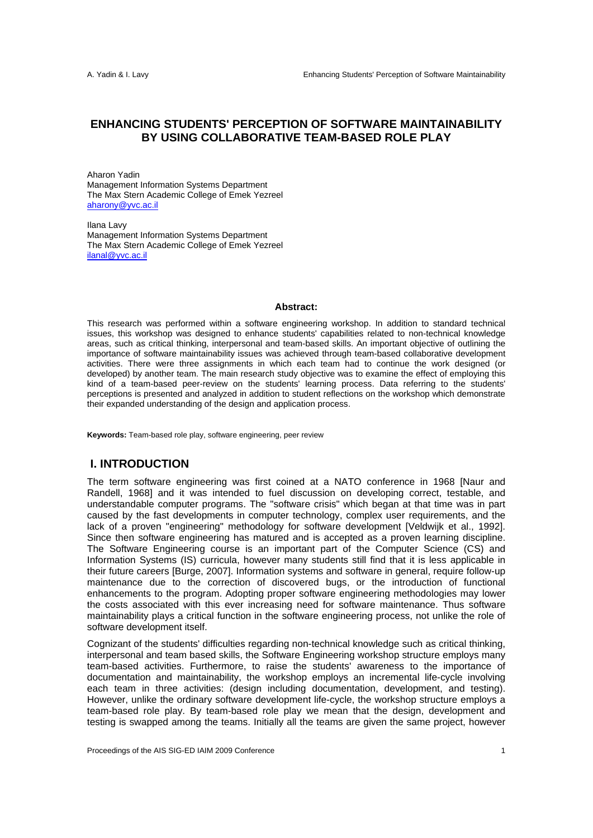# **ENHANCING STUDENTS' PERCEPTION OF SOFTWARE MAINTAINABILITY BY USING COLLABORATIVE TEAM-BASED ROLE PLAY**

Aharon Yadin Management Information Systems Department The Max Stern Academic College of Emek Yezreel aharony@yvc.ac.il

Ilana Lavy Management Information Systems Department The Max Stern Academic College of Emek Yezreel ilanal@yvc.ac.il

#### **Abstract:**

This research was performed within a software engineering workshop. In addition to standard technical issues, this workshop was designed to enhance students' capabilities related to non-technical knowledge areas, such as critical thinking, interpersonal and team-based skills. An important objective of outlining the importance of software maintainability issues was achieved through team-based collaborative development activities. There were three assignments in which each team had to continue the work designed (or developed) by another team. The main research study objective was to examine the effect of employing this kind of a team-based peer-review on the students' learning process. Data referring to the students' perceptions is presented and analyzed in addition to student reflections on the workshop which demonstrate their expanded understanding of the design and application process.

**Keywords:** Team-based role play, software engineering, peer review

# **I. INTRODUCTION**

The term software engineering was first coined at a NATO conference in 1968 [Naur and Randell, 1968] and it was intended to fuel discussion on developing correct, testable, and understandable computer programs. The "software crisis" which began at that time was in part caused by the fast developments in computer technology, complex user requirements, and the lack of a proven "engineering" methodology for software development [Veldwijk et al., 1992]. Since then software engineering has matured and is accepted as a proven learning discipline. The Software Engineering course is an important part of the Computer Science (CS) and Information Systems (IS) curricula, however many students still find that it is less applicable in their future careers [Burge, 2007]. Information systems and software in general, require follow-up maintenance due to the correction of discovered bugs, or the introduction of functional enhancements to the program. Adopting proper software engineering methodologies may lower the costs associated with this ever increasing need for software maintenance. Thus software maintainability plays a critical function in the software engineering process, not unlike the role of software development itself.

Cognizant of the students' difficulties regarding non-technical knowledge such as critical thinking, interpersonal and team based skills, the Software Engineering workshop structure employs many team-based activities. Furthermore, to raise the students' awareness to the importance of documentation and maintainability, the workshop employs an incremental life-cycle involving each team in three activities: (design including documentation, development, and testing). However, unlike the ordinary software development life-cycle, the workshop structure employs a team-based role play. By team-based role play we mean that the design, development and testing is swapped among the teams. Initially all the teams are given the same project, however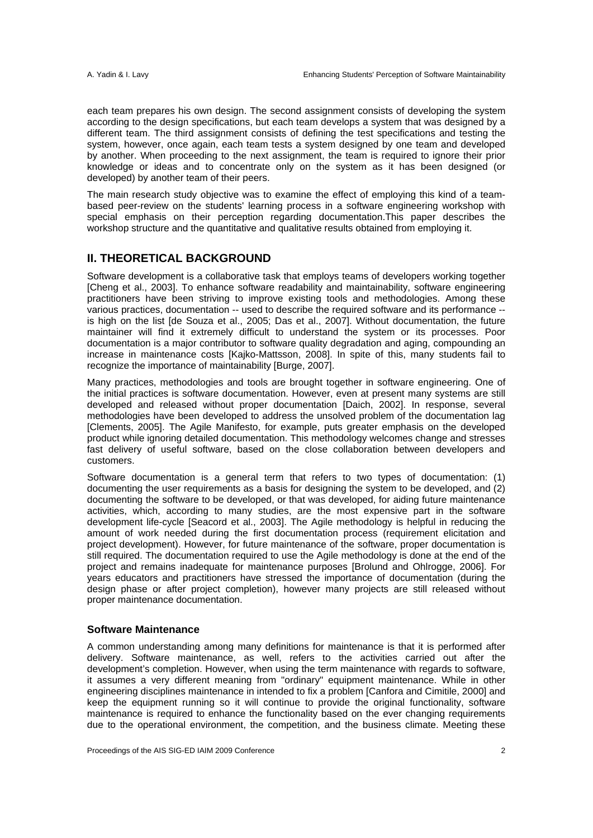each team prepares his own design. The second assignment consists of developing the system according to the design specifications, but each team develops a system that was designed by a different team. The third assignment consists of defining the test specifications and testing the system, however, once again, each team tests a system designed by one team and developed by another. When proceeding to the next assignment, the team is required to ignore their prior knowledge or ideas and to concentrate only on the system as it has been designed (or developed) by another team of their peers.

The main research study objective was to examine the effect of employing this kind of a teambased peer-review on the students' learning process in a software engineering workshop with special emphasis on their perception regarding documentation.This paper describes the workshop structure and the quantitative and qualitative results obtained from employing it.

# **II. THEORETICAL BACKGROUND**

Software development is a collaborative task that employs teams of developers working together [Cheng et al., 2003]. To enhance software readability and maintainability, software engineering practitioners have been striving to improve existing tools and methodologies. Among these various practices, documentation -- used to describe the required software and its performance - is high on the list [de Souza et al., 2005; Das et al., 2007]. Without documentation, the future maintainer will find it extremely difficult to understand the system or its processes. Poor documentation is a major contributor to software quality degradation and aging, compounding an increase in maintenance costs [Kajko-Mattsson, 2008]. In spite of this, many students fail to recognize the importance of maintainability [Burge, 2007].

Many practices, methodologies and tools are brought together in software engineering. One of the initial practices is software documentation. However, even at present many systems are still developed and released without proper documentation [Daich, 2002]. In response, several methodologies have been developed to address the unsolved problem of the documentation lag [Clements, 2005]. The Agile Manifesto, for example, puts greater emphasis on the developed product while ignoring detailed documentation. This methodology welcomes change and stresses fast delivery of useful software, based on the close collaboration between developers and customers.

Software documentation is a general term that refers to two types of documentation: (1) documenting the user requirements as a basis for designing the system to be developed, and (2) documenting the software to be developed, or that was developed, for aiding future maintenance activities, which, according to many studies, are the most expensive part in the software development life-cycle [Seacord et al., 2003]. The Agile methodology is helpful in reducing the amount of work needed during the first documentation process (requirement elicitation and project development). However, for future maintenance of the software, proper documentation is still required. The documentation required to use the Agile methodology is done at the end of the project and remains inadequate for maintenance purposes [Brolund and Ohlrogge, 2006]. For years educators and practitioners have stressed the importance of documentation (during the design phase or after project completion), however many projects are still released without proper maintenance documentation.

#### **Software Maintenance**

A common understanding among many definitions for maintenance is that it is performed after delivery. Software maintenance, as well, refers to the activities carried out after the development's completion. However, when using the term maintenance with regards to software, it assumes a very different meaning from "ordinary" equipment maintenance. While in other engineering disciplines maintenance in intended to fix a problem [Canfora and Cimitile, 2000] and keep the equipment running so it will continue to provide the original functionality, software maintenance is required to enhance the functionality based on the ever changing requirements due to the operational environment, the competition, and the business climate. Meeting these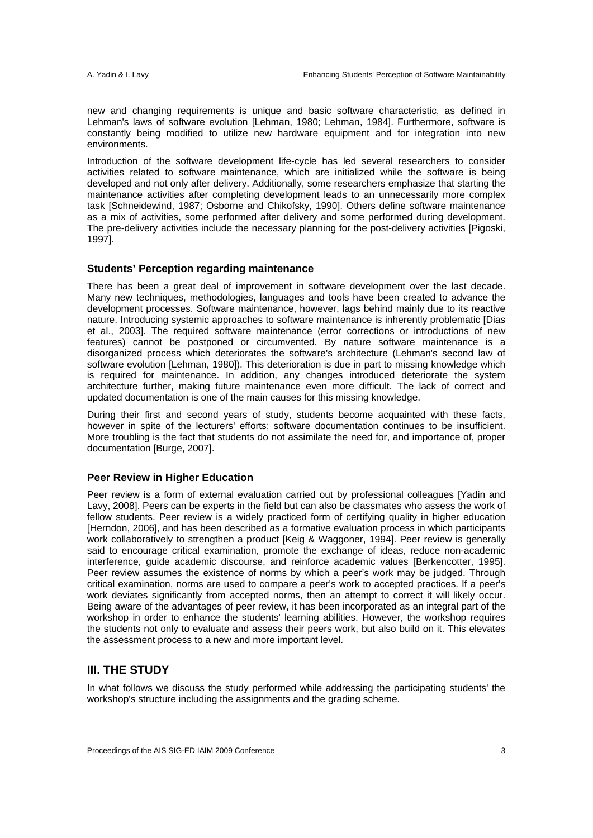new and changing requirements is unique and basic software characteristic, as defined in Lehman's laws of software evolution [Lehman, 1980; Lehman, 1984]. Furthermore, software is constantly being modified to utilize new hardware equipment and for integration into new environments.

Introduction of the software development life-cycle has led several researchers to consider activities related to software maintenance, which are initialized while the software is being developed and not only after delivery. Additionally, some researchers emphasize that starting the maintenance activities after completing development leads to an unnecessarily more complex task [Schneidewind, 1987; Osborne and Chikofsky, 1990]. Others define software maintenance as a mix of activities, some performed after delivery and some performed during development. The pre-delivery activities include the necessary planning for the post-delivery activities [Pigoski, 1997].

#### **Students' Perception regarding maintenance**

There has been a great deal of improvement in software development over the last decade. Many new techniques, methodologies, languages and tools have been created to advance the development processes. Software maintenance, however, lags behind mainly due to its reactive nature. Introducing systemic approaches to software maintenance is inherently problematic [Dias et al., 2003]. The required software maintenance (error corrections or introductions of new features) cannot be postponed or circumvented. By nature software maintenance is a disorganized process which deteriorates the software's architecture (Lehman's second law of software evolution [Lehman, 1980]). This deterioration is due in part to missing knowledge which is required for maintenance. In addition, any changes introduced deteriorate the system architecture further, making future maintenance even more difficult. The lack of correct and updated documentation is one of the main causes for this missing knowledge.

During their first and second years of study, students become acquainted with these facts, however in spite of the lecturers' efforts; software documentation continues to be insufficient. More troubling is the fact that students do not assimilate the need for, and importance of, proper documentation [Burge, 2007].

#### **Peer Review in Higher Education**

Peer review is a form of external evaluation carried out by professional colleagues [Yadin and Lavy, 2008]. Peers can be experts in the field but can also be classmates who assess the work of fellow students. Peer review is a widely practiced form of certifying quality in higher education [Herndon, 2006], and has been described as a formative evaluation process in which participants work collaboratively to strengthen a product [Keig & Waggoner, 1994]. Peer review is generally said to encourage critical examination, promote the exchange of ideas, reduce non-academic interference, guide academic discourse, and reinforce academic values [Berkencotter, 1995]. Peer review assumes the existence of norms by which a peer's work may be judged. Through critical examination, norms are used to compare a peer's work to accepted practices. If a peer's work deviates significantly from accepted norms, then an attempt to correct it will likely occur. Being aware of the advantages of peer review, it has been incorporated as an integral part of the workshop in order to enhance the students' learning abilities. However, the workshop requires the students not only to evaluate and assess their peers work, but also build on it. This elevates the assessment process to a new and more important level.

# **III. THE STUDY**

In what follows we discuss the study performed while addressing the participating students' the workshop's structure including the assignments and the grading scheme.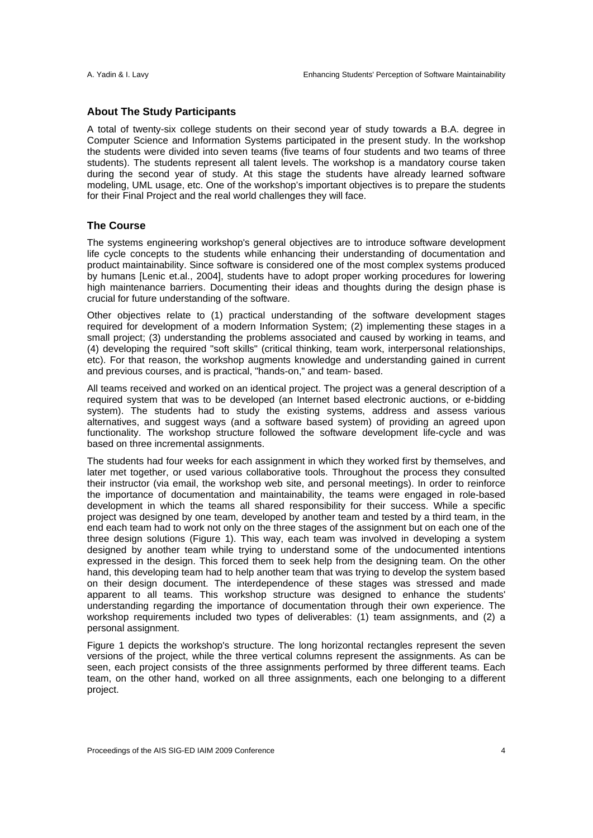#### **About The Study Participants**

A total of twenty-six college students on their second year of study towards a B.A. degree in Computer Science and Information Systems participated in the present study. In the workshop the students were divided into seven teams (five teams of four students and two teams of three students). The students represent all talent levels. The workshop is a mandatory course taken during the second year of study. At this stage the students have already learned software modeling, UML usage, etc. One of the workshop's important objectives is to prepare the students for their Final Project and the real world challenges they will face.

#### **The Course**

The systems engineering workshop's general objectives are to introduce software development life cycle concepts to the students while enhancing their understanding of documentation and product maintainability. Since software is considered one of the most complex systems produced by humans [Lenic et.al., 2004], students have to adopt proper working procedures for lowering high maintenance barriers. Documenting their ideas and thoughts during the design phase is crucial for future understanding of the software.

Other objectives relate to (1) practical understanding of the software development stages required for development of a modern Information System; (2) implementing these stages in a small project; (3) understanding the problems associated and caused by working in teams, and (4) developing the required "soft skills" (critical thinking, team work, interpersonal relationships, etc). For that reason, the workshop augments knowledge and understanding gained in current and previous courses, and is practical, "hands-on," and team- based.

All teams received and worked on an identical project. The project was a general description of a required system that was to be developed (an Internet based electronic auctions, or e-bidding system). The students had to study the existing systems, address and assess various alternatives, and suggest ways (and a software based system) of providing an agreed upon functionality. The workshop structure followed the software development life-cycle and was based on three incremental assignments.

The students had four weeks for each assignment in which they worked first by themselves, and later met together, or used various collaborative tools. Throughout the process they consulted their instructor (via email, the workshop web site, and personal meetings). In order to reinforce the importance of documentation and maintainability, the teams were engaged in role-based development in which the teams all shared responsibility for their success. While a specific project was designed by one team, developed by another team and tested by a third team, in the end each team had to work not only on the three stages of the assignment but on each one of the three design solutions (Figure 1). This way, each team was involved in developing a system designed by another team while trying to understand some of the undocumented intentions expressed in the design. This forced them to seek help from the designing team. On the other hand, this developing team had to help another team that was trying to develop the system based on their design document. The interdependence of these stages was stressed and made apparent to all teams. This workshop structure was designed to enhance the students' understanding regarding the importance of documentation through their own experience. The workshop requirements included two types of deliverables: (1) team assignments, and (2) a personal assignment.

Figure 1 depicts the workshop's structure. The long horizontal rectangles represent the seven versions of the project, while the three vertical columns represent the assignments. As can be seen, each project consists of the three assignments performed by three different teams. Each team, on the other hand, worked on all three assignments, each one belonging to a different project.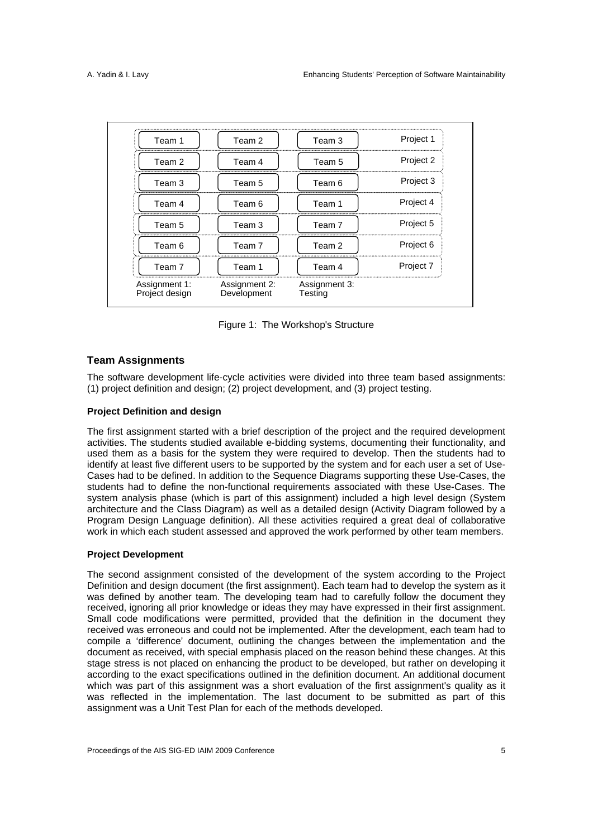| Team 1                          | Team 2                       | Team 3                   | Project 1 |
|---------------------------------|------------------------------|--------------------------|-----------|
| Team 2                          | Team 4                       | Team 5                   | Project 2 |
| Team 3                          | Team 5                       | Team 6                   | Project 3 |
| Team 4                          | Team 6                       | Team 1                   | Project 4 |
| Team 5                          | Team 3                       | Team 7                   | Project 5 |
| Team 6                          | Team 7                       | Team 2                   | Project 6 |
| Team 7                          | Team 1                       | Team 4                   | Project 7 |
| Assignment 1:<br>Project design | Assignment 2:<br>Development | Assignment 3:<br>Testing |           |

Figure 1: The Workshop's Structure

# **Team Assignments**

The software development life-cycle activities were divided into three team based assignments: (1) project definition and design; (2) project development, and (3) project testing.

#### **Project Definition and design**

The first assignment started with a brief description of the project and the required development activities. The students studied available e-bidding systems, documenting their functionality, and used them as a basis for the system they were required to develop. Then the students had to identify at least five different users to be supported by the system and for each user a set of Use-Cases had to be defined. In addition to the Sequence Diagrams supporting these Use-Cases, the students had to define the non-functional requirements associated with these Use-Cases. The system analysis phase (which is part of this assignment) included a high level design (System architecture and the Class Diagram) as well as a detailed design (Activity Diagram followed by a Program Design Language definition). All these activities required a great deal of collaborative work in which each student assessed and approved the work performed by other team members.

#### **Project Development**

The second assignment consisted of the development of the system according to the Project Definition and design document (the first assignment). Each team had to develop the system as it was defined by another team. The developing team had to carefully follow the document they received, ignoring all prior knowledge or ideas they may have expressed in their first assignment. Small code modifications were permitted, provided that the definition in the document they received was erroneous and could not be implemented. After the development, each team had to compile a 'difference' document, outlining the changes between the implementation and the document as received, with special emphasis placed on the reason behind these changes. At this stage stress is not placed on enhancing the product to be developed, but rather on developing it according to the exact specifications outlined in the definition document. An additional document which was part of this assignment was a short evaluation of the first assignment's quality as it was reflected in the implementation. The last document to be submitted as part of this assignment was a Unit Test Plan for each of the methods developed.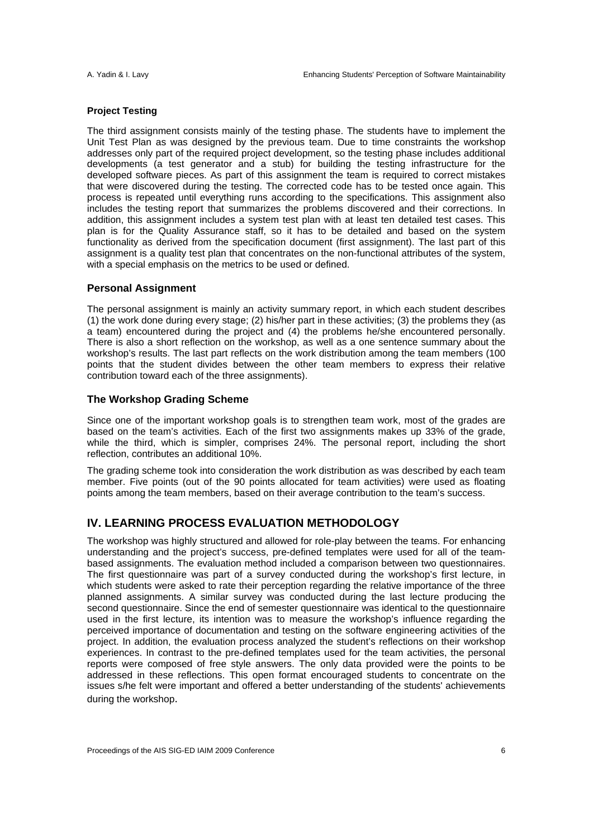#### **Project Testing**

The third assignment consists mainly of the testing phase. The students have to implement the Unit Test Plan as was designed by the previous team. Due to time constraints the workshop addresses only part of the required project development, so the testing phase includes additional developments (a test generator and a stub) for building the testing infrastructure for the developed software pieces. As part of this assignment the team is required to correct mistakes that were discovered during the testing. The corrected code has to be tested once again. This process is repeated until everything runs according to the specifications. This assignment also includes the testing report that summarizes the problems discovered and their corrections. In addition, this assignment includes a system test plan with at least ten detailed test cases. This plan is for the Quality Assurance staff, so it has to be detailed and based on the system functionality as derived from the specification document (first assignment). The last part of this assignment is a quality test plan that concentrates on the non-functional attributes of the system, with a special emphasis on the metrics to be used or defined.

#### **Personal Assignment**

The personal assignment is mainly an activity summary report, in which each student describes (1) the work done during every stage; (2) his/her part in these activities; (3) the problems they (as a team) encountered during the project and (4) the problems he/she encountered personally. There is also a short reflection on the workshop, as well as a one sentence summary about the workshop's results. The last part reflects on the work distribution among the team members (100 points that the student divides between the other team members to express their relative contribution toward each of the three assignments).

#### **The Workshop Grading Scheme**

Since one of the important workshop goals is to strengthen team work, most of the grades are based on the team's activities. Each of the first two assignments makes up 33% of the grade, while the third, which is simpler, comprises 24%. The personal report, including the short reflection, contributes an additional 10%.

The grading scheme took into consideration the work distribution as was described by each team member. Five points (out of the 90 points allocated for team activities) were used as floating points among the team members, based on their average contribution to the team's success.

# **IV. LEARNING PROCESS EVALUATION METHODOLOGY**

The workshop was highly structured and allowed for role-play between the teams. For enhancing understanding and the project's success, pre-defined templates were used for all of the teambased assignments. The evaluation method included a comparison between two questionnaires. The first questionnaire was part of a survey conducted during the workshop's first lecture, in which students were asked to rate their perception regarding the relative importance of the three planned assignments. A similar survey was conducted during the last lecture producing the second questionnaire. Since the end of semester questionnaire was identical to the questionnaire used in the first lecture, its intention was to measure the workshop's influence regarding the perceived importance of documentation and testing on the software engineering activities of the project. In addition, the evaluation process analyzed the student's reflections on their workshop experiences. In contrast to the pre-defined templates used for the team activities, the personal reports were composed of free style answers. The only data provided were the points to be addressed in these reflections. This open format encouraged students to concentrate on the issues s/he felt were important and offered a better understanding of the students' achievements during the workshop.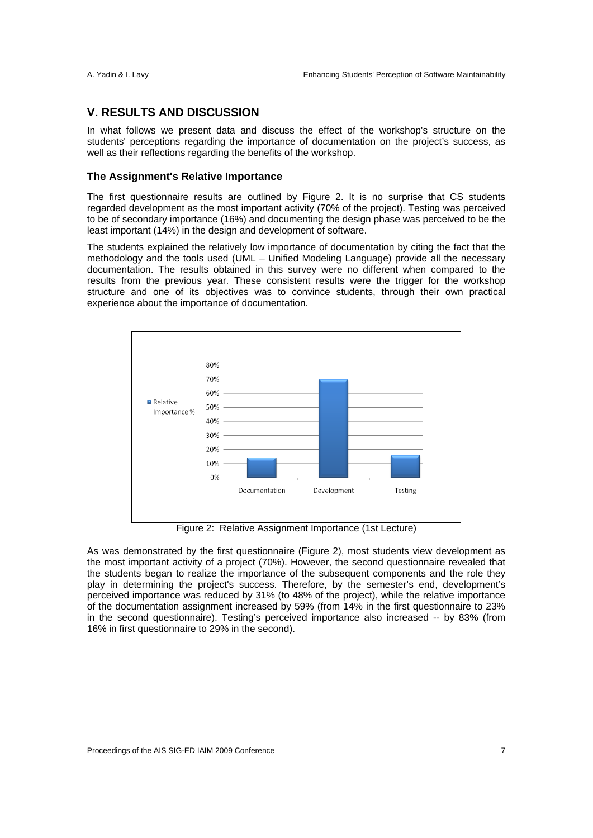### **V. RESULTS AND DISCUSSION**

In what follows we present data and discuss the effect of the workshop's structure on the students' perceptions regarding the importance of documentation on the project's success, as well as their reflections regarding the benefits of the workshop.

#### **The Assignment's Relative Importance**

The first questionnaire results are outlined by Figure 2. It is no surprise that CS students regarded development as the most important activity (70% of the project). Testing was perceived to be of secondary importance (16%) and documenting the design phase was perceived to be the least important (14%) in the design and development of software.

The students explained the relatively low importance of documentation by citing the fact that the methodology and the tools used (UML – Unified Modeling Language) provide all the necessary documentation. The results obtained in this survey were no different when compared to the results from the previous year. These consistent results were the trigger for the workshop structure and one of its objectives was to convince students, through their own practical experience about the importance of documentation.



Figure 2: Relative Assignment Importance (1st Lecture)

As was demonstrated by the first questionnaire (Figure 2), most students view development as the most important activity of a project (70%). However, the second questionnaire revealed that the students began to realize the importance of the subsequent components and the role they play in determining the project's success. Therefore, by the semester's end, development's perceived importance was reduced by 31% (to 48% of the project), while the relative importance of the documentation assignment increased by 59% (from 14% in the first questionnaire to 23% in the second questionnaire). Testing's perceived importance also increased -- by 83% (from 16% in first questionnaire to 29% in the second).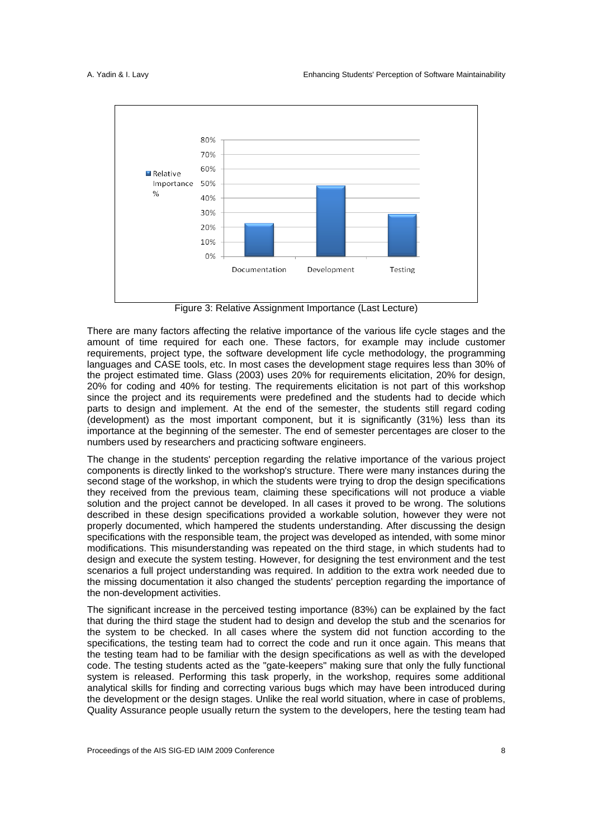

Figure 3: Relative Assignment Importance (Last Lecture)

There are many factors affecting the relative importance of the various life cycle stages and the amount of time required for each one. These factors, for example may include customer requirements, project type, the software development life cycle methodology, the programming languages and CASE tools, etc. In most cases the development stage requires less than 30% of the project estimated time. Glass (2003) uses 20% for requirements elicitation, 20% for design, 20% for coding and 40% for testing. The requirements elicitation is not part of this workshop since the project and its requirements were predefined and the students had to decide which parts to design and implement. At the end of the semester, the students still regard coding (development) as the most important component, but it is significantly (31%) less than its importance at the beginning of the semester. The end of semester percentages are closer to the numbers used by researchers and practicing software engineers.

The change in the students' perception regarding the relative importance of the various project components is directly linked to the workshop's structure. There were many instances during the second stage of the workshop, in which the students were trying to drop the design specifications they received from the previous team, claiming these specifications will not produce a viable solution and the project cannot be developed. In all cases it proved to be wrong. The solutions described in these design specifications provided a workable solution, however they were not properly documented, which hampered the students understanding. After discussing the design specifications with the responsible team, the project was developed as intended, with some minor modifications. This misunderstanding was repeated on the third stage, in which students had to design and execute the system testing. However, for designing the test environment and the test scenarios a full project understanding was required. In addition to the extra work needed due to the missing documentation it also changed the students' perception regarding the importance of the non-development activities.

The significant increase in the perceived testing importance (83%) can be explained by the fact that during the third stage the student had to design and develop the stub and the scenarios for the system to be checked. In all cases where the system did not function according to the specifications, the testing team had to correct the code and run it once again. This means that the testing team had to be familiar with the design specifications as well as with the developed code. The testing students acted as the "gate-keepers" making sure that only the fully functional system is released. Performing this task properly, in the workshop, requires some additional analytical skills for finding and correcting various bugs which may have been introduced during the development or the design stages. Unlike the real world situation, where in case of problems, Quality Assurance people usually return the system to the developers, here the testing team had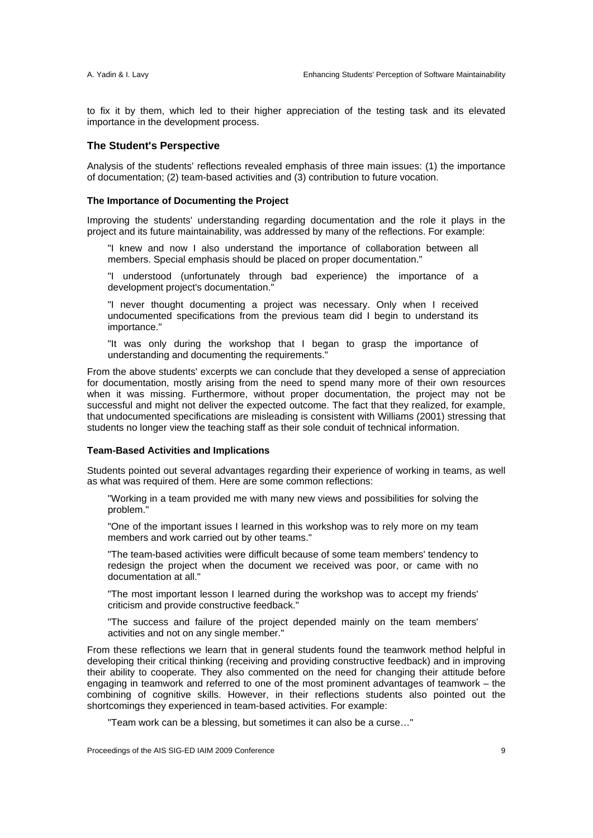to fix it by them, which led to their higher appreciation of the testing task and its elevated importance in the development process.

#### **The Student's Perspective**

Analysis of the students' reflections revealed emphasis of three main issues: (1) the importance of documentation; (2) team-based activities and (3) contribution to future vocation.

#### **The Importance of Documenting the Project**

Improving the students' understanding regarding documentation and the role it plays in the project and its future maintainability, was addressed by many of the reflections. For example:

"I knew and now I also understand the importance of collaboration between all members. Special emphasis should be placed on proper documentation."

"I understood (unfortunately through bad experience) the importance of a development project's documentation."

"I never thought documenting a project was necessary. Only when I received undocumented specifications from the previous team did I begin to understand its importance."

"It was only during the workshop that I began to grasp the importance of understanding and documenting the requirements."

From the above students' excerpts we can conclude that they developed a sense of appreciation for documentation, mostly arising from the need to spend many more of their own resources when it was missing. Furthermore, without proper documentation, the project may not be successful and might not deliver the expected outcome. The fact that they realized, for example, that undocumented specifications are misleading is consistent with Williams (2001) stressing that students no longer view the teaching staff as their sole conduit of technical information.

#### **Team-Based Activities and Implications**

Students pointed out several advantages regarding their experience of working in teams, as well as what was required of them. Here are some common reflections:

"Working in a team provided me with many new views and possibilities for solving the problem."

"One of the important issues I learned in this workshop was to rely more on my team members and work carried out by other teams."

"The team-based activities were difficult because of some team members' tendency to redesign the project when the document we received was poor, or came with no documentation at all."

"The most important lesson I learned during the workshop was to accept my friends' criticism and provide constructive feedback."

"The success and failure of the project depended mainly on the team members' activities and not on any single member."

From these reflections we learn that in general students found the teamwork method helpful in developing their critical thinking (receiving and providing constructive feedback) and in improving their ability to cooperate. They also commented on the need for changing their attitude before engaging in teamwork and referred to one of the most prominent advantages of teamwork – the combining of cognitive skills. However, in their reflections students also pointed out the shortcomings they experienced in team-based activities. For example:

"Team work can be a blessing, but sometimes it can also be a curse…"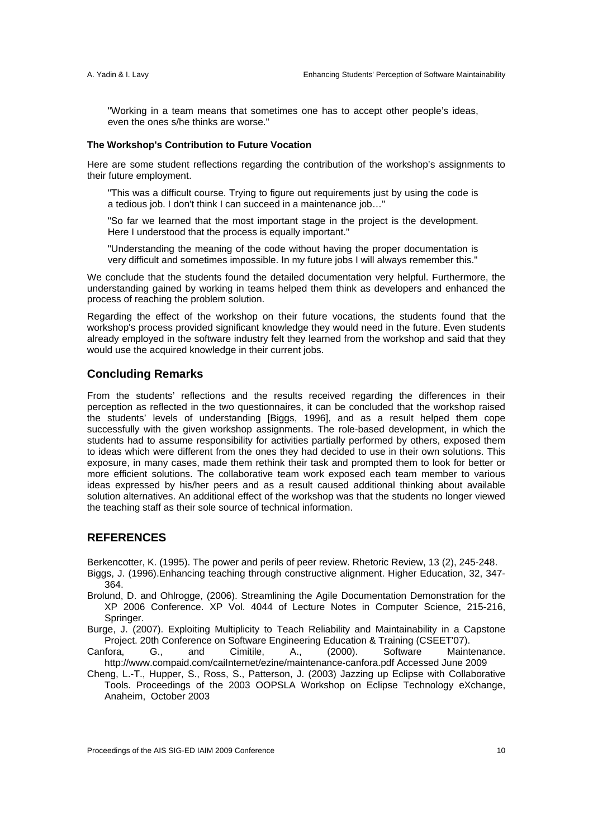"Working in a team means that sometimes one has to accept other people's ideas, even the ones s/he thinks are worse."

#### **The Workshop's Contribution to Future Vocation**

Here are some student reflections regarding the contribution of the workshop's assignments to their future employment.

"This was a difficult course. Trying to figure out requirements just by using the code is a tedious job. I don't think I can succeed in a maintenance job…"

"So far we learned that the most important stage in the project is the development. Here I understood that the process is equally important."

"Understanding the meaning of the code without having the proper documentation is very difficult and sometimes impossible. In my future jobs I will always remember this."

We conclude that the students found the detailed documentation very helpful. Furthermore, the understanding gained by working in teams helped them think as developers and enhanced the process of reaching the problem solution.

Regarding the effect of the workshop on their future vocations, the students found that the workshop's process provided significant knowledge they would need in the future. Even students already employed in the software industry felt they learned from the workshop and said that they would use the acquired knowledge in their current jobs.

# **Concluding Remarks**

From the students' reflections and the results received regarding the differences in their perception as reflected in the two questionnaires, it can be concluded that the workshop raised the students' levels of understanding [Biggs, 1996], and as a result helped them cope successfully with the given workshop assignments. The role-based development, in which the students had to assume responsibility for activities partially performed by others, exposed them to ideas which were different from the ones they had decided to use in their own solutions. This exposure, in many cases, made them rethink their task and prompted them to look for better or more efficient solutions. The collaborative team work exposed each team member to various ideas expressed by his/her peers and as a result caused additional thinking about available solution alternatives. An additional effect of the workshop was that the students no longer viewed the teaching staff as their sole source of technical information.

# **REFERENCES**

Berkencotter, K. (1995). The power and perils of peer review. Rhetoric Review, 13 (2), 245-248.

- Biggs, J. (1996).Enhancing teaching through constructive alignment. Higher Education, 32, 347- 364.
- Brolund, D. and Ohlrogge, ( 2006). Streamlining the Agile Documentation Demonstration for the XP 2006 Conference. XP Vol. 4044 of Lecture Notes in Computer Science, 215-216, Springer.
- Burge, J. (2007). Exploiting Multiplicity to Teach Reliability and Maintainability in a Capstone Project. 20th Conference on Software Engineering Education & Training (CSEET'07).<br>
Software Maintenne Cimitile, A., (2000). Software Maintenne

Canfora, G., and Cimitile, A., (2000). Software Maintenance. http://www.compaid.com/caiInternet/ezine/maintenance-canfora.pdf Accessed June 2009

Cheng, L.-T., Hupper, S., Ross, S., Patterson, J. (2003) Jazzing up Eclipse with Collaborative Tools. Proceedings of the 2003 OOPSLA Workshop on Eclipse Technology eXchange, Anaheim, October 2003